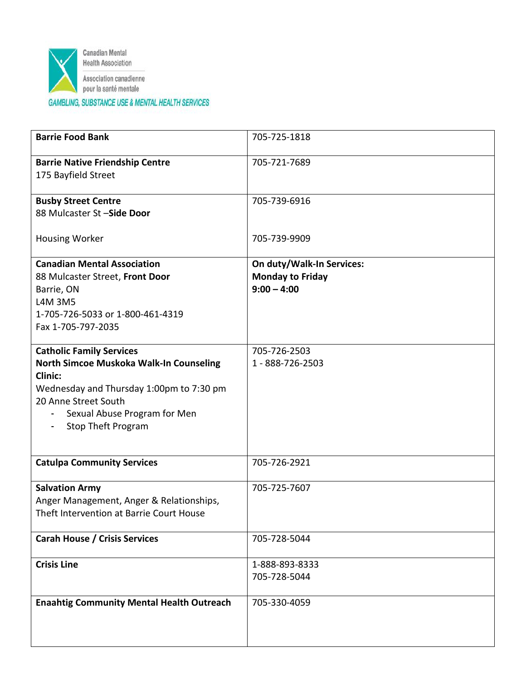

| <b>Barrie Food Bank</b>                                                                                                                                                                                                       | 705-725-1818                                                          |
|-------------------------------------------------------------------------------------------------------------------------------------------------------------------------------------------------------------------------------|-----------------------------------------------------------------------|
| <b>Barrie Native Friendship Centre</b><br>175 Bayfield Street                                                                                                                                                                 | 705-721-7689                                                          |
| <b>Busby Street Centre</b><br>88 Mulcaster St -Side Door                                                                                                                                                                      | 705-739-6916                                                          |
| <b>Housing Worker</b>                                                                                                                                                                                                         | 705-739-9909                                                          |
| <b>Canadian Mental Association</b><br>88 Mulcaster Street, Front Door<br>Barrie, ON                                                                                                                                           | On duty/Walk-In Services:<br><b>Monday to Friday</b><br>$9:00 - 4:00$ |
| L4M 3M5<br>1-705-726-5033 or 1-800-461-4319<br>Fax 1-705-797-2035                                                                                                                                                             |                                                                       |
| <b>Catholic Family Services</b><br>North Simcoe Muskoka Walk-In Counseling<br><b>Clinic:</b><br>Wednesday and Thursday 1:00pm to 7:30 pm<br>20 Anne Street South<br>Sexual Abuse Program for Men<br><b>Stop Theft Program</b> | 705-726-2503<br>1 - 888-726-2503                                      |
| <b>Catulpa Community Services</b>                                                                                                                                                                                             | 705-726-2921                                                          |
| <b>Salvation Army</b><br>Anger Management, Anger & Relationships,<br>Theft Intervention at Barrie Court House                                                                                                                 | 705-725-7607                                                          |
| <b>Carah House / Crisis Services</b>                                                                                                                                                                                          | 705-728-5044                                                          |
| <b>Crisis Line</b>                                                                                                                                                                                                            | 1-888-893-8333<br>705-728-5044                                        |
| <b>Enaahtig Community Mental Health Outreach</b>                                                                                                                                                                              | 705-330-4059                                                          |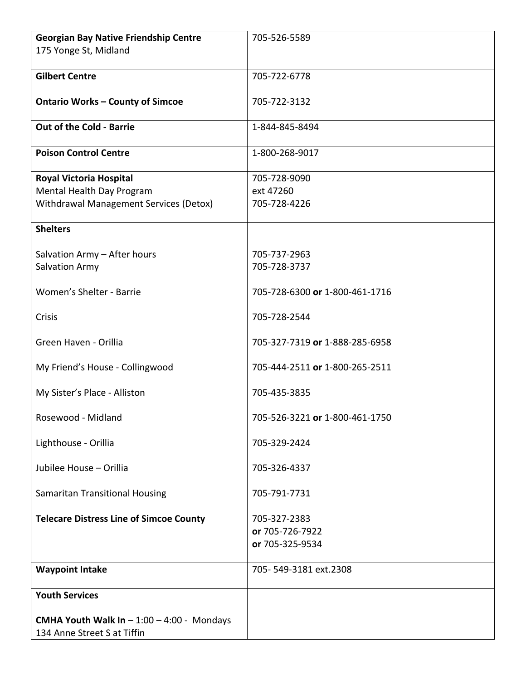| <b>Georgian Bay Native Friendship Centre</b>   | 705-526-5589                   |
|------------------------------------------------|--------------------------------|
| 175 Yonge St, Midland                          |                                |
|                                                |                                |
| <b>Gilbert Centre</b>                          | 705-722-6778                   |
|                                                |                                |
| <b>Ontario Works - County of Simcoe</b>        | 705-722-3132                   |
| Out of the Cold - Barrie                       | 1-844-845-8494                 |
|                                                |                                |
| <b>Poison Control Centre</b>                   | 1-800-268-9017                 |
|                                                |                                |
| Royal Victoria Hospital                        | 705-728-9090                   |
| Mental Health Day Program                      | ext 47260                      |
| Withdrawal Management Services (Detox)         | 705-728-4226                   |
| <b>Shelters</b>                                |                                |
|                                                |                                |
| Salvation Army - After hours                   | 705-737-2963                   |
| Salvation Army                                 | 705-728-3737                   |
|                                                |                                |
| Women's Shelter - Barrie                       | 705-728-6300 or 1-800-461-1716 |
|                                                |                                |
| Crisis                                         | 705-728-2544                   |
| Green Haven - Orillia                          | 705-327-7319 or 1-888-285-6958 |
|                                                |                                |
| My Friend's House - Collingwood                | 705-444-2511 or 1-800-265-2511 |
|                                                |                                |
| My Sister's Place - Alliston                   | 705-435-3835                   |
|                                                |                                |
| Rosewood - Midland                             | 705-526-3221 or 1-800-461-1750 |
|                                                |                                |
| Lighthouse - Orillia                           | 705-329-2424                   |
| Jubilee House - Orillia                        | 705-326-4337                   |
|                                                |                                |
| Samaritan Transitional Housing                 | 705-791-7731                   |
|                                                |                                |
| <b>Telecare Distress Line of Simcoe County</b> | 705-327-2383                   |
|                                                | or 705-726-7922                |
|                                                | or 705-325-9534                |
|                                                |                                |
| <b>Waypoint Intake</b>                         | 705-549-3181 ext.2308          |
| <b>Youth Services</b>                          |                                |
|                                                |                                |
| CMHA Youth Walk In $-1:00 - 4:00$ - Mondays    |                                |
| 134 Anne Street S at Tiffin                    |                                |